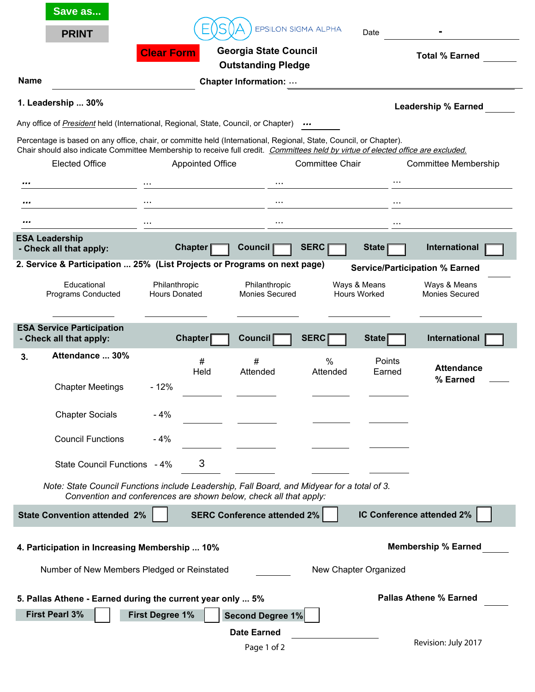| Save as                                                                                                                                                    |                                       |                                                                                |                                                                   | <b>EPSILON SIGMA ALPHA</b> |                                     |                                                                         |  |
|------------------------------------------------------------------------------------------------------------------------------------------------------------|---------------------------------------|--------------------------------------------------------------------------------|-------------------------------------------------------------------|----------------------------|-------------------------------------|-------------------------------------------------------------------------|--|
| <b>PRINT</b>                                                                                                                                               |                                       | <b>Georgia State Council</b><br><b>Clear Form</b><br><b>Outstanding Pledge</b> |                                                                   |                            |                                     | Date<br><b>Total % Earned</b>                                           |  |
| <b>Name</b>                                                                                                                                                |                                       |                                                                                | <b>Chapter Information: </b>                                      |                            |                                     |                                                                         |  |
| 1. Leadership  30%                                                                                                                                         |                                       |                                                                                |                                                                   |                            |                                     | <b>Leadership % Earned</b>                                              |  |
| Any office of <b>President</b> held (International, Regional, State, Council, or Chapter)                                                                  |                                       |                                                                                |                                                                   |                            |                                     |                                                                         |  |
| Percentage is based on any office, chair, or committe held (International, Regional, State, Council, or Chapter).                                          |                                       |                                                                                |                                                                   |                            |                                     |                                                                         |  |
| Chair should also indicate Committee Membership to receive full credit. Committees held by virtue of elected office are excluded.<br><b>Elected Office</b> |                                       | <b>Appointed Office</b>                                                        |                                                                   | <b>Committee Chair</b>     |                                     | Committee Membership                                                    |  |
|                                                                                                                                                            | $\cdots$                              |                                                                                | $\cdots$                                                          |                            |                                     |                                                                         |  |
|                                                                                                                                                            | .                                     |                                                                                | $\cdots$                                                          |                            | $\cdots$                            |                                                                         |  |
|                                                                                                                                                            |                                       |                                                                                | $\cdots$                                                          |                            | .                                   |                                                                         |  |
| <b>ESA Leadership</b>                                                                                                                                      |                                       | <b>Chapter</b>                                                                 | <b>Council</b>                                                    | <b>SERC</b>                | <b>State</b>                        | International                                                           |  |
| - Check all that apply:<br>2. Service & Participation  25% (List Projects or Programs on next page)                                                        |                                       |                                                                                |                                                                   |                            |                                     |                                                                         |  |
| Educational<br>Programs Conducted                                                                                                                          | Philanthropic<br><b>Hours Donated</b> |                                                                                | Philanthropic<br><b>Monies Secured</b>                            |                            | Ways & Means<br><b>Hours Worked</b> | <b>Service/Participation % Earned</b><br>Ways & Means<br>Monies Secured |  |
| <b>ESA Service Participation</b><br>- Check all that apply:                                                                                                |                                       | <b>Chapter</b>                                                                 | <b>Council</b>                                                    | <b>SERC</b>                | State                               | International                                                           |  |
| Attendance  30%<br>3.                                                                                                                                      |                                       | #<br>Held                                                                      | #<br>Attended                                                     | $\%$<br>Attended           | Points<br>Earned                    | <b>Attendance</b><br>% Earned                                           |  |
| <b>Chapter Meetings</b>                                                                                                                                    | $-12%$                                |                                                                                |                                                                   |                            |                                     |                                                                         |  |
| <b>Chapter Socials</b>                                                                                                                                     | $-4%$                                 |                                                                                |                                                                   |                            |                                     |                                                                         |  |
| <b>Council Functions</b>                                                                                                                                   | $-4%$                                 |                                                                                |                                                                   |                            |                                     |                                                                         |  |
| State Council Functions - 4%                                                                                                                               |                                       | 3                                                                              |                                                                   |                            |                                     |                                                                         |  |
| Note: State Council Functions include Leadership, Fall Board, and Midyear for a total of 3.                                                                |                                       |                                                                                | Convention and conferences are shown below, check all that apply: |                            |                                     |                                                                         |  |
| <b>State Convention attended 2%</b>                                                                                                                        |                                       |                                                                                | <b>SERC Conference attended 2%</b>                                |                            |                                     | IC Conference attended 2%                                               |  |
| 4. Participation in Increasing Membership  10%<br>Number of New Members Pledged or Reinstated                                                              |                                       |                                                                                |                                                                   |                            | New Chapter Organized               | <b>Membership % Earned</b>                                              |  |
| 5. Pallas Athene - Earned during the current year only  5%<br><b>First Pearl 3%</b>                                                                        | <b>First Degree 1%</b>                |                                                                                | Second Degree 1%                                                  |                            |                                     | <b>Pallas Athene % Earned</b>                                           |  |
|                                                                                                                                                            |                                       |                                                                                | <b>Date Earned</b><br>Page 1 of 2                                 |                            |                                     | Revision: July 2017                                                     |  |